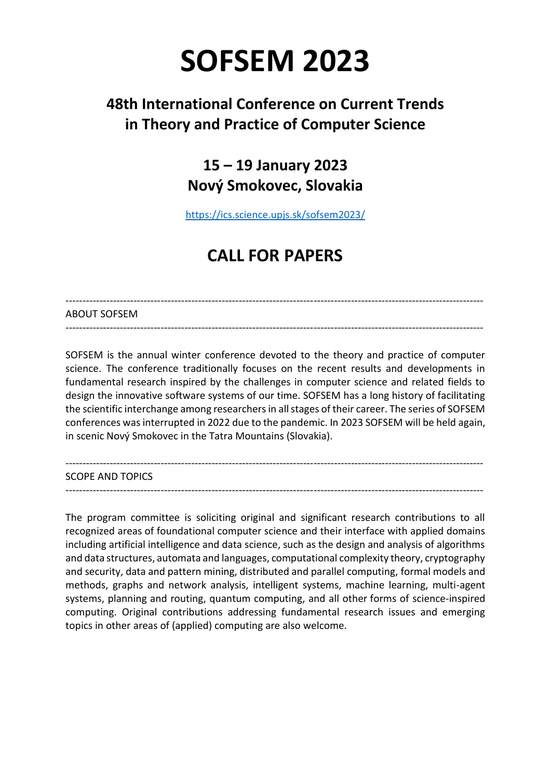# **SOFSEM 2023**

## **48th International Conference on Current Trends in Theory and Practice of Computer Science**

### **15 – 19 January 2023 Nový Smokovec, Slovakia**

<https://ics.science.upjs.sk/sofsem2023/>

## **CALL FOR PAPERS**

#### --------------------------------------------------------------------------------------------------------------------------- ABOUT SOFSEM

SOFSEM is the annual winter conference devoted to the theory and practice of computer science. The conference traditionally focuses on the recent results and developments in fundamental research inspired by the challenges in computer science and related fields to design the innovative software systems of our time. SOFSEM has a long history of facilitating the scientific interchange among researchers in all stages of their career. The series of SOFSEM conferences was interrupted in 2022 due to the pandemic. In 2023 SOFSEM will be held again, in scenic Nový Smokovec in the Tatra Mountains (Slovakia).

---------------------------------------------------------------------------------------------------------------------------

---------------------------------------------------------------------------------------------------------------------------

SCOPE AND TOPICS

---------------------------------------------------------------------------------------------------------------------------

The program committee is soliciting original and significant research contributions to all recognized areas of foundational computer science and their interface with applied domains including artificial intelligence and data science, such as the design and analysis of algorithms and data structures, automata and languages, computational complexity theory, cryptography and security, data and pattern mining, distributed and parallel computing, formal models and methods, graphs and network analysis, intelligent systems, machine learning, multi-agent systems, planning and routing, quantum computing, and all other forms of science-inspired computing. Original contributions addressing fundamental research issues and emerging topics in other areas of (applied) computing are also welcome.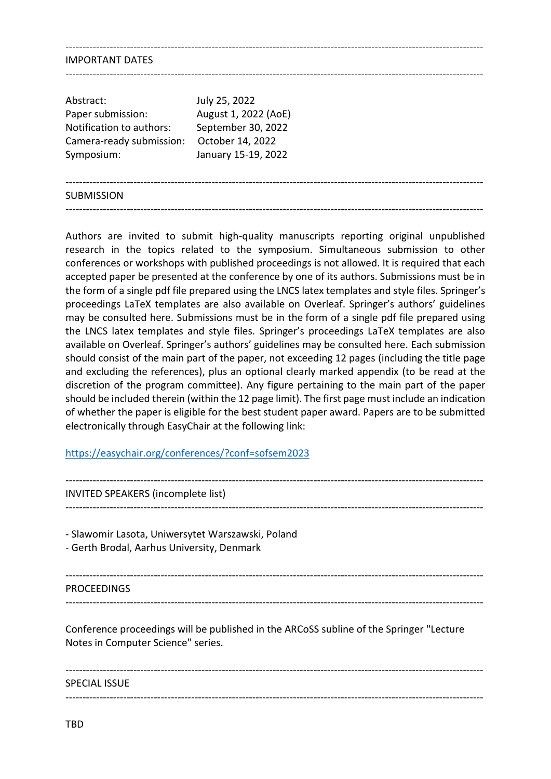#### IMPORTANT DATES

| Abstract:                | July 25, 2022        |  |
|--------------------------|----------------------|--|
| Paper submission:        | August 1, 2022 (AoE) |  |
| Notification to authors: | September 30, 2022   |  |
| Camera-ready submission: | October 14, 2022     |  |
| Symposium:               | January 15-19, 2022  |  |
|                          |                      |  |

---------------------------------------------------------------------------------------------------------------------------

---------------------------------------------------------------------------------------------------------------------------

---------------------------------------------------------------------------------------------------------------------------

---------------------------------------------------------------------------------------------------------------------------

#### **SUBMISSION**

Authors are invited to submit high-quality manuscripts reporting original unpublished research in the topics related to the symposium. Simultaneous submission to other conferences or workshops with published proceedings is not allowed. It is required that each accepted paper be presented at the conference by one of its authors. Submissions must be in the form of a single pdf file prepared using the LNCS latex templates and style files. Springer's proceedings LaTeX templates are also available on Overleaf. Springer's authors' guidelines may be consulted here. Submissions must be in the form of a single pdf file prepared using the LNCS latex templates and style files. Springer's proceedings LaTeX templates are also available on Overleaf. Springer's authors' guidelines may be consulted here. Each submission should consist of the main part of the paper, not exceeding 12 pages (including the title page and excluding the references), plus an optional clearly marked appendix (to be read at the discretion of the program committee). Any figure pertaining to the main part of the paper should be included therein (within the 12 page limit). The first page must include an indication of whether the paper is eligible for the best student paper award. Papers are to be submitted electronically through EasyChair at the following link:

#### <https://easychair.org/conferences/?conf=sofsem2023>

--------------------------------------------------------------------------------------------------------------------------- INVITED SPEAKERS (incomplete list) --------------------------------------------------------------------------------------------------------------------------- - Slawomir Lasota, Uniwersytet Warszawski, Poland - Gerth Brodal, Aarhus University, Denmark --------------------------------------------------------------------------------------------------------------------------- PROCEEDINGS --------------------------------------------------------------------------------------------------------------------------- Conference proceedings will be published in the ARCoSS subline of the Springer "Lecture Notes in Computer Science" series. --------------------------------------------------------------------------------------------------------------------------- SPECIAL ISSUE

---------------------------------------------------------------------------------------------------------------------------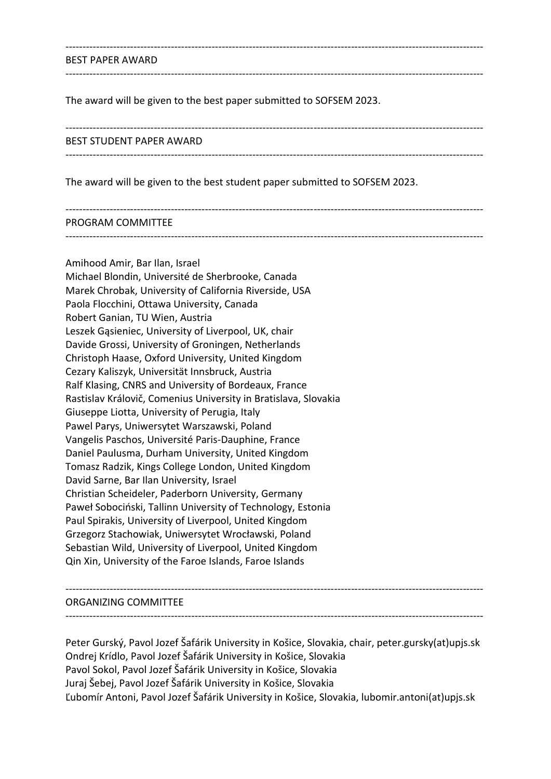#### BEST PAPER AWARD

The award will be given to the best paper submitted to SOFSEM 2023.

#### BEST STUDENT PAPER AWARD

---------------------------------------------------------------------------------------------------------------------------

---------------------------------------------------------------------------------------------------------------------------

---------------------------------------------------------------------------------------------------------------------------

---------------------------------------------------------------------------------------------------------------------------

The award will be given to the best student paper submitted to SOFSEM 2023.

---------------------------------------------------------------------------------------------------------------------------

#### PROGRAM COMMITTEE

---------------------------------------------------------------------------------------------------------------------------

Amihood Amir, Bar Ilan, Israel Michael Blondin, Université de Sherbrooke, Canada Marek Chrobak, University of California Riverside, USA Paola Flocchini, Ottawa University, Canada Robert Ganian, TU Wien, Austria Leszek Gąsieniec, University of Liverpool, UK, chair Davide Grossi, University of Groningen, Netherlands Christoph Haase, Oxford University, United Kingdom Cezary Kaliszyk, Universität Innsbruck, Austria Ralf Klasing, CNRS and University of Bordeaux, France Rastislav Královič, Comenius University in Bratislava, Slovakia Giuseppe Liotta, University of Perugia, Italy Pawel Parys, Uniwersytet Warszawski, Poland Vangelis Paschos, Université Paris-Dauphine, France Daniel Paulusma, Durham University, United Kingdom Tomasz Radzik, Kings College London, United Kingdom David Sarne, Bar Ilan University, Israel Christian Scheideler, Paderborn University, Germany Paweł Sobociński, Tallinn University of Technology, Estonia Paul Spirakis, University of Liverpool, United Kingdom Grzegorz Stachowiak, Uniwersytet Wrocławski, Poland Sebastian Wild, University of Liverpool, United Kingdom Qin Xin, University of the Faroe Islands, Faroe Islands

#### --------------------------------------------------------------------------------------------------------------------------- ORGANIZING COMMITTEE

---------------------------------------------------------------------------------------------------------------------------

Peter Gurský, Pavol Jozef Šafárik University in Košice, Slovakia, chair, peter.gursky(at)upjs.sk Ondrej Krídlo, Pavol Jozef Šafárik University in Košice, Slovakia Pavol Sokol, Pavol Jozef Šafárik University in Košice, Slovakia Juraj Šebej, Pavol Jozef Šafárik University in Košice, Slovakia Ľubomír Antoni, Pavol Jozef Šafárik University in Košice, Slovakia, lubomir.antoni(at)upjs.sk